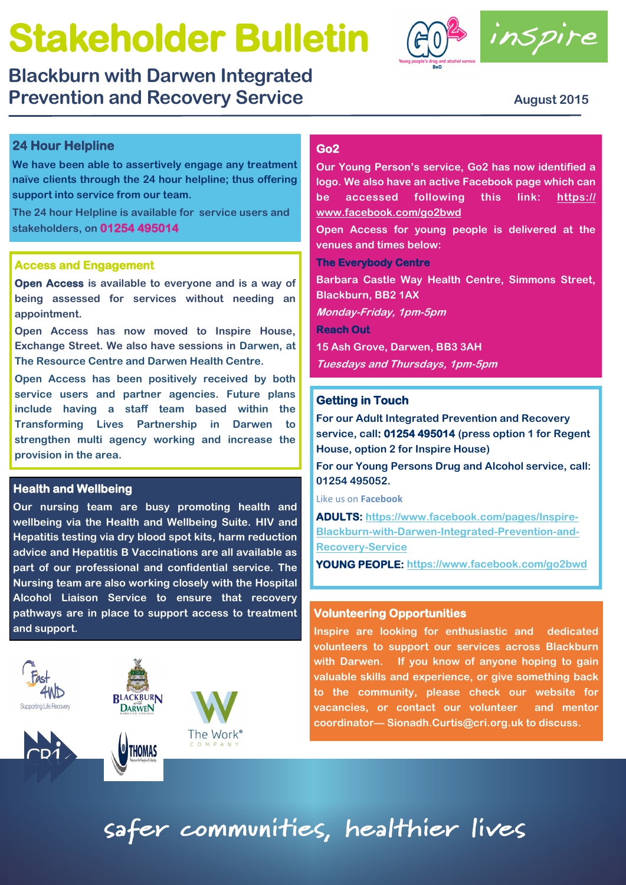# **Stakeholder Bulletin**

**Blackburn with Darwen Integrated Prevention and Recovery Service <b>August 2015** August 2015





## **24 Hour Helpline**

**We have been able to assertively engage any treatment naïve clients through the 24 hour helpline; thus offering support into service from our team.**

**The 24 hour Helpline is available for service users and stakeholders, on 01254 495014**

### **Access and Engagement**

**Open Access is available to everyone and is a way of being assessed for services without needing an appointment.** 

**Open Access has now moved to Inspire House, Exchange Street. We also have sessions in Darwen, at The Resource Centre and Darwen Health Centre.** 

**Open Access has been positively received by both service users and partner agencies. Future plans include having a staff team based within the Transforming Lives Partnership in Darwen to strengthen multi agency working and increase the provision in the area.** 

## **Health and Wellbeing**

**Our nursing team are busy promoting health and wellbeing via the Health and Wellbeing Suite. HIV and Hepatitis testing via dry blood spot kits, harm reduction advice and Hepatitis B Vaccinations are all available as part of our professional and confidential service. The Nursing team are also working closely with the Hospital Alcohol Liaison Service to ensure that recovery pathways are in place to support access to treatment and support.**





**THOMAS** 



## **Go2**

**Our Young Person's service, Go2 has now identified a logo. We also have an active Facebook page which can be accessed following this link: [https://](https://www.facebook.com/go2bwd) [www.facebook.com/go2bwd](https://www.facebook.com/go2bwd)**

**Open Access for young people is delivered at the venues and times below:**

**The Everybody Centre** 

**Barbara Castle Way Health Centre, Simmons Street, Blackburn, BB2 1AX**

**Monday-Friday, 1pm-5pm**

**Reach Out** 

**15 Ash Grove, Darwen, BB3 3AH**

**Tuesdays and Thursdays, 1pm-5pm**

## **Getting in Touch**

**For our Adult Integrated Prevention and Recovery service, call: 01254 495014 (press option 1 for Regent House, option 2 for Inspire House)**

**For our Young Persons Drug and Alcohol service, call: 01254 495052.**

Like us on **Facebook**

**ADULTS: [https://www.facebook.com/pages/Inspire-](https://www.facebook.com/pages/Inspire-Blackburn-with-Darwen-Integrated-Prevention-and-Recovery-Service)[Blackburn-with-Darwen-Integrated-Prevention-and-](https://www.facebook.com/pages/Inspire-Blackburn-with-Darwen-Integrated-Prevention-and-Recovery-Service)[Recovery-Service](https://www.facebook.com/pages/Inspire-Blackburn-with-Darwen-Integrated-Prevention-and-Recovery-Service)**

**YOUNG PEOPLE: <https://www.facebook.com/go2bwd>**

#### **Volunteering Opportunities**

**Inspire are looking for enthusiastic and dedicated volunteers to support our services across Blackburn with Darwen. If you know of anyone hoping to gain valuable skills and experience, or give something back to the community, please check our website for vacancies, or contact our volunteer and mentor coordinator— Sionadh.Curtis@cri.org.uk to discuss.**

safer communities, healthier lives